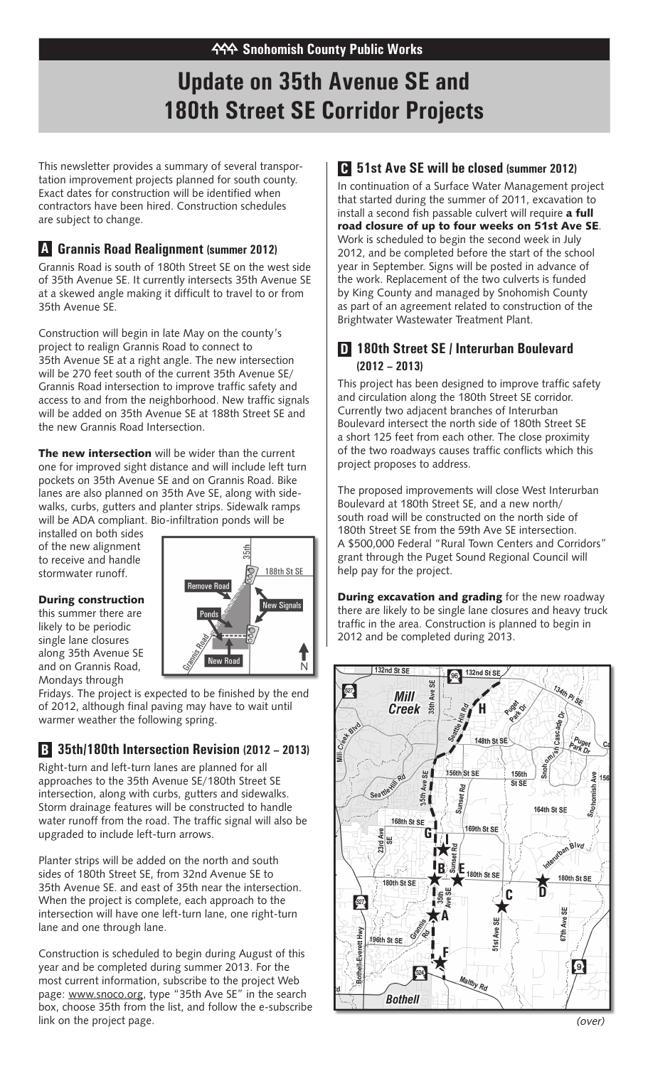# **Update on 35th Avenue SE and 180th Street SE Corridor Projects**

This newsletter provides a summary of several transportation improvement projects planned for south county. Exact dates for construction will be identified when contractors have been hired. Construction schedules are subject to change.

#### **Grannis Road Realignment (summer 2012) A**

Grannis Road is south of 180th Street SE on the west side of 35th Avenue SE. It currently intersects 35th Avenue SE at a skewed angle making it difficult to travel to or from 35th Avenue SE.

Construction will begin in late May on the county's project to realign Grannis Road to connect to 35th Avenue SE at a right angle. The new intersection will be 270 feet south of the current 35th Avenue SE/ Grannis Road intersection to improve traffic safety and access to and from the neighborhood. New traffic signals will be added on 35th Avenue SE at 188th Street SE and the new Grannis Road Intersection.

The new intersection will be wider than the current one for improved sight distance and will include left turn pockets on 35th Avenue SE and on Grannis Road. Bike lanes are also planned on 35th Ave SE, along with sidewalks, curbs, gutters and planter strips. Sidewalk ramps will be ADA compliant. Bio-infiltration ponds will be

installed on both sides of the new alignment to receive and handle stormwater runoff.

#### During construction

this summer there are likely to be periodic single lane closures along 35th Avenue SE and on Grannis Road, Mondays through



Fridays. The project is expected to be finished by the end of 2012, although final paving may have to wait until warmer weather the following spring.

### **35th/180th Intersection Revision (2012 – 2013) B**

Right-turn and left-turn lanes are planned for all approaches to the 35th Avenue SE/180th Street SE intersection, along with curbs, gutters and sidewalks. Storm drainage features will be constructed to handle water runoff from the road. The traffic signal will also be upgraded to include left-turn arrows.

Planter strips will be added on the north and south sides of 180th Street SE, from 32nd Avenue SE to 35th Avenue SE. and east of 35th near the intersection. When the project is complete, each approach to the intersection will have one left-turn lane, one right-turn lane and one through lane.

Construction is scheduled to begin during August of this year and be completed during summer 2013. For the most current information, subscribe to the project Web page: www.snoco.org, type "35th Ave SE" in the search box, choose 35th from the list, and follow the e-subscribe link on the project page.

### **51st Ave SE will be closed (summer 2012) C**

In continuation of a Surface Water Management project that started during the summer of 2011, excavation to install a second fish passable culvert will require a full road closure of up to four weeks on 51st Ave SE. Work is scheduled to begin the second week in July 2012, and be completed before the start of the school year in September. Signs will be posted in advance of the work. Replacement of the two culverts is funded by King County and managed by Snohomish County as part of an agreement related to construction of the Brightwater Wastewater Treatment Plant.

#### **180th Street SE / Interurban Boulevard D (2012 – 2013)**

This project has been designed to improve traffic safety and circulation along the 180th Street SE corridor. Currently two adjacent branches of Interurban Boulevard intersect the north side of 180th Street SE a short 125 feet from each other. The close proximity of the two roadways causes traffic conflicts which this project proposes to address.

The proposed improvements will close West Interurban Boulevard at 180th Street SE, and a new north/ south road will be constructed on the north side of 180th Street SE from the 59th Ave SE intersection. A \$500,000 Federal "Rural Town Centers and Corridors" grant through the Puget Sound Regional Council will help pay for the project.

**During excavation and grading** for the new roadway there are likely to be single lane closures and heavy truck traffic in the area. Construction is planned to begin in 2012 and be completed during 2013.



(over)